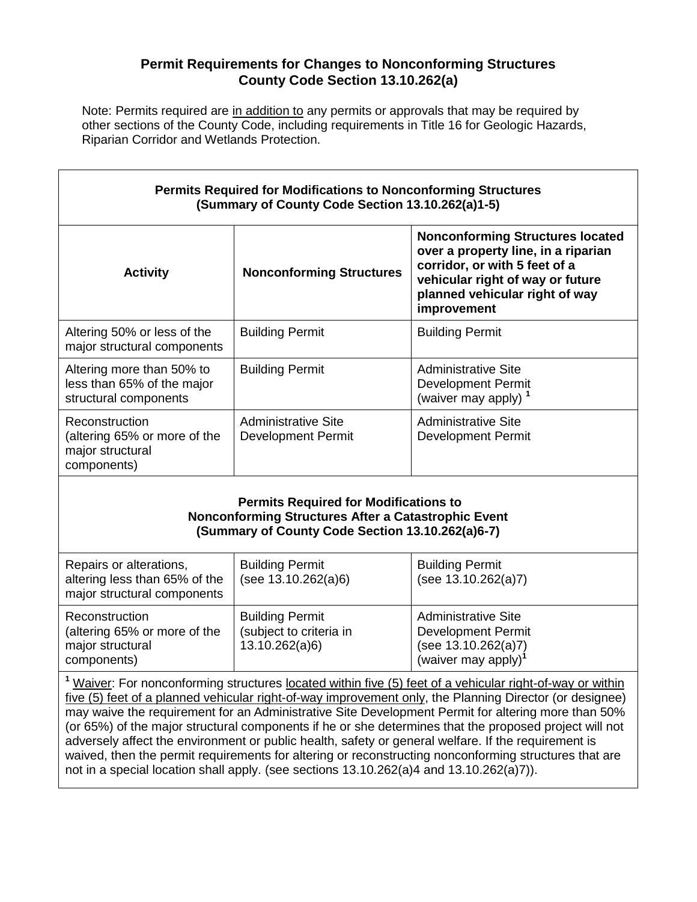## **Permit Requirements for Changes to Nonconforming Structures County Code Section 13.10.262(a)**

Note: Permits required are in addition to any permits or approvals that may be required by other sections of the County Code, including requirements in Title 16 for Geologic Hazards, Riparian Corridor and Wetlands Protection.

Г

| <b>Permits Required for Modifications to Nonconforming Structures</b><br>(Summary of County Code Section 13.10.262(a)1-5) |                                                  |                                                                                                                                                                                                      |  |  |
|---------------------------------------------------------------------------------------------------------------------------|--------------------------------------------------|------------------------------------------------------------------------------------------------------------------------------------------------------------------------------------------------------|--|--|
| <b>Activity</b>                                                                                                           | <b>Nonconforming Structures</b>                  | <b>Nonconforming Structures located</b><br>over a property line, in a riparian<br>corridor, or with 5 feet of a<br>vehicular right of way or future<br>planned vehicular right of way<br>improvement |  |  |
| Altering 50% or less of the<br>major structural components                                                                | <b>Building Permit</b>                           | <b>Building Permit</b>                                                                                                                                                                               |  |  |
| Altering more than 50% to<br>less than 65% of the major<br>structural components                                          | <b>Building Permit</b>                           | <b>Administrative Site</b><br>Development Permit<br>(waiver may apply) $1$                                                                                                                           |  |  |
| Reconstruction<br>(altering 65% or more of the<br>major structural<br>components)                                         | <b>Administrative Site</b><br>Development Permit | Administrative Site<br>Development Permit                                                                                                                                                            |  |  |

## **Permits Required for Modifications to Nonconforming Structures After a Catastrophic Event (Summary of County Code Section 13.10.262(a)6-7)**

| Repairs or alterations,<br>altering less than 65% of the<br>major structural components | <b>Building Permit</b><br>(see 13.10.262(a)6)                       | <b>Building Permit</b><br>(see 13.10.262(a)7)                                                                     |
|-----------------------------------------------------------------------------------------|---------------------------------------------------------------------|-------------------------------------------------------------------------------------------------------------------|
| Reconstruction<br>(altering 65% or more of the<br>major structural<br>components)       | <b>Building Permit</b><br>(subject to criteria in<br>13.10.262(a)6) | <b>Administrative Site</b><br><b>Development Permit</b><br>(see 13.10.262(a)7)<br>(waiver may apply) <sup>1</sup> |

**<sup>1</sup>** Waiver: For nonconforming structures located within five (5) feet of a vehicular right-of-way or within five (5) feet of a planned vehicular right-of-way improvement only, the Planning Director (or designee) may waive the requirement for an Administrative Site Development Permit for altering more than 50% (or 65%) of the major structural components if he or she determines that the proposed project will not adversely affect the environment or public health, safety or general welfare. If the requirement is waived, then the permit requirements for altering or reconstructing nonconforming structures that are not in a special location shall apply. (see sections 13.10.262(a)4 and 13.10.262(a)7)).